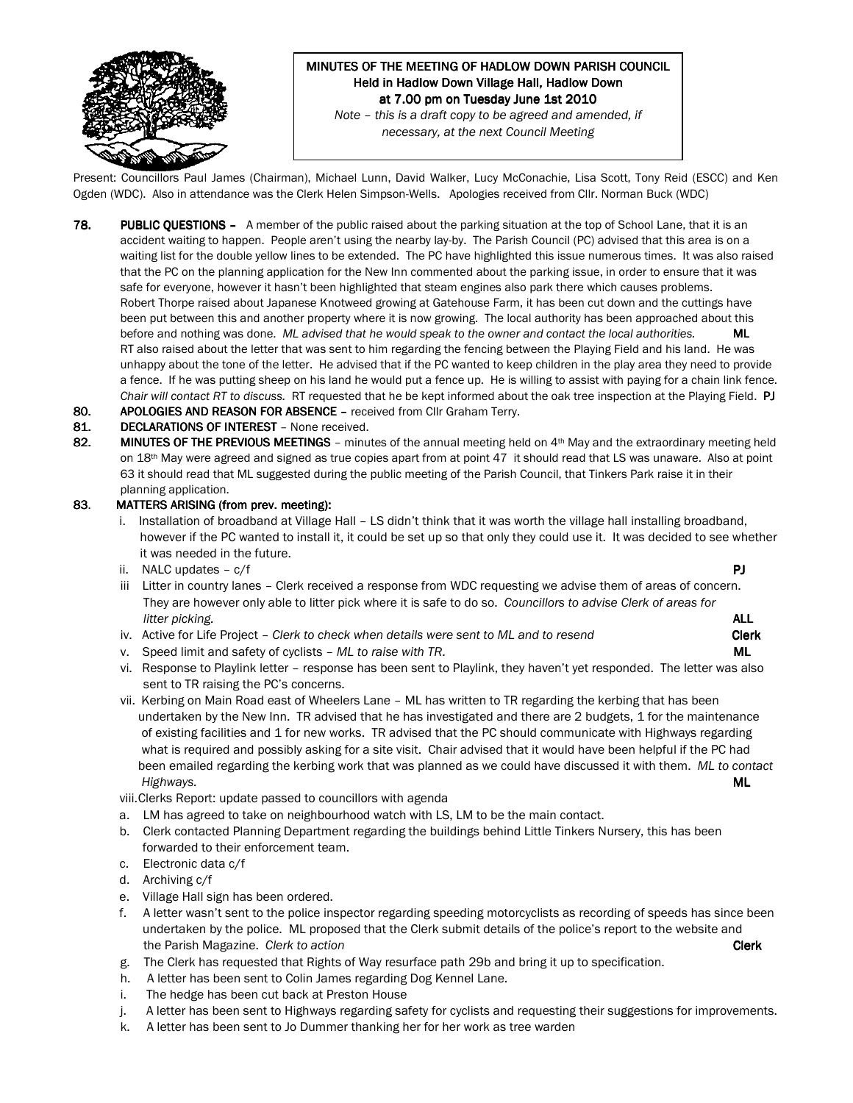

# MINUTES OF THE MEETING OF HADLOW DOWN PARISH COUNCIL Held in Hadlow Down Village Hall, Hadlow Down at 7.00 pm on Tuesday June 1st 2010

Note – this is a draft copy to be agreed and amended, if necessary, at the next Council Meeting

Present: Councillors Paul James (Chairman), Michael Lunn, David Walker, Lucy McConachie, Lisa Scott, Tony Reid (ESCC) and Ken Ogden (WDC). Also in attendance was the Clerk Helen Simpson-Wells. Apologies received from Cllr. Norman Buck (WDC)

- 78. PUBLIC QUESTIONS A member of the public raised about the parking situation at the top of School Lane, that it is an accident waiting to happen. People aren't using the nearby lay-by. The Parish Council (PC) advised that this area is on a waiting list for the double yellow lines to be extended. The PC have highlighted this issue numerous times. It was also raised that the PC on the planning application for the New Inn commented about the parking issue, in order to ensure that it was safe for everyone, however it hasn't been highlighted that steam engines also park there which causes problems. Robert Thorpe raised about Japanese Knotweed growing at Gatehouse Farm, it has been cut down and the cuttings have been put between this and another property where it is now growing. The local authority has been approached about this before and nothing was done. ML advised that he would speak to the owner and contact the local authorities. ML RT also raised about the letter that was sent to him regarding the fencing between the Playing Field and his land. He was unhappy about the tone of the letter. He advised that if the PC wanted to keep children in the play area they need to provide a fence. If he was putting sheep on his land he would put a fence up. He is willing to assist with paying for a chain link fence. Chair will contact RT to discuss. RT requested that he be kept informed about the oak tree inspection at the Playing Field. PJ
- 80. APOLOGIES AND REASON FOR ABSENCE received from Cllr Graham Terry.
- 81. DECLARATIONS OF INTEREST None received.
- 82. MINUTES OF THE PREVIOUS MEETINGS minutes of the annual meeting held on  $4<sup>th</sup>$  May and the extraordinary meeting held on 18<sup>th</sup> May were agreed and signed as true copies apart from at point 47 it should read that LS was unaware. Also at point 63 it should read that ML suggested during the public meeting of the Parish Council, that Tinkers Park raise it in their planning application.

#### 83. MATTERS ARISING (from prev. meeting):

- i. Installation of broadband at Village Hall LS didn't think that it was worth the village hall installing broadband, however if the PC wanted to install it, it could be set up so that only they could use it. It was decided to see whether it was needed in the future.
- ii. NALC updates  $c/f$  PJ
- iii Litter in country lanes Clerk received a response from WDC requesting we advise them of areas of concern. They are however only able to litter pick where it is safe to do so. Councillors to advise Clerk of areas for litter picking. ALL and the contract of the contract of the contract of the contract of the contract of the contract of the contract of the contract of the contract of the contract of the contract of the contract of the co
	- iv. Active for Life Project Clerk to check when details were sent to ML and to resend Clerk
	- v. Speed limit and safety of cyclists ML to raise with TR. MILL CONSERVITY CONSERVITY OF THE SPEED CONSERVATION OF THE SPEED CONSERVATION OF THE SPEED CONSERVATION OF THE SPEED CONSERVATION OF THE SPEED CONSERVATION OF T
	- vi. Response to Playlink letter response has been sent to Playlink, they haven't yet responded. The letter was also sent to TR raising the PC's concerns.
	- vii. Kerbing on Main Road east of Wheelers Lane ML has written to TR regarding the kerbing that has been undertaken by the New Inn. TR advised that he has investigated and there are 2 budgets, 1 for the maintenance of existing facilities and 1 for new works. TR advised that the PC should communicate with Highways regarding what is required and possibly asking for a site visit. Chair advised that it would have been helpful if the PC had been emailed regarding the kerbing work that was planned as we could have discussed it with them. ML to contact Highways. ML

viii.Clerks Report: update passed to councillors with agenda

- a. LM has agreed to take on neighbourhood watch with LS, LM to be the main contact.
- b. Clerk contacted Planning Department regarding the buildings behind Little Tinkers Nursery, this has been forwarded to their enforcement team.
- c. Electronic data c/f
- d. Archiving c/f
- e. Village Hall sign has been ordered.
- f. A letter wasn't sent to the police inspector regarding speeding motorcyclists as recording of speeds has since been undertaken by the police. ML proposed that the Clerk submit details of the police's report to the website and the Parish Magazine. Clerk to action Communication Clerk Clerk Clerk Clerk Clerk Clerk Clerk Clerk Clerk Clerk
- g. The Clerk has requested that Rights of Way resurface path 29b and bring it up to specification.
- h. A letter has been sent to Colin James regarding Dog Kennel Lane.
- i. The hedge has been cut back at Preston House
- j. A letter has been sent to Highways regarding safety for cyclists and requesting their suggestions for improvements.
- k. A letter has been sent to Jo Dummer thanking her for her work as tree warden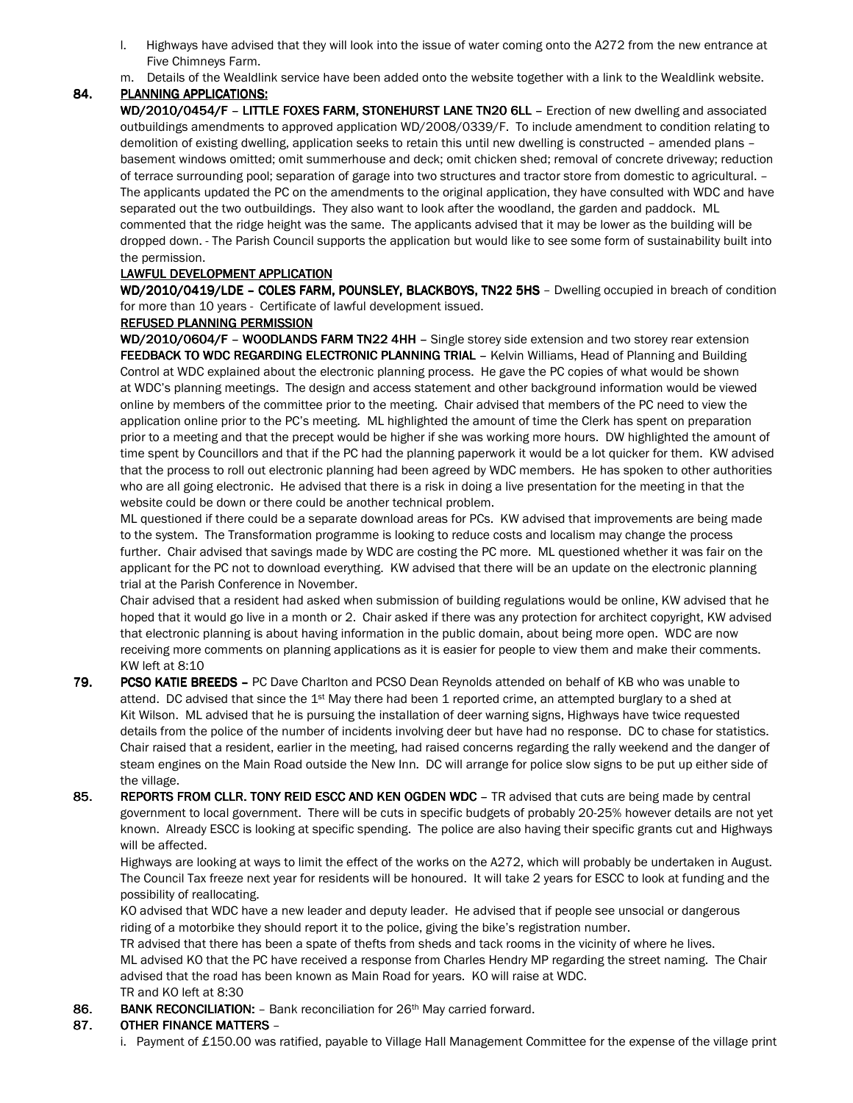- l. Highways have advised that they will look into the issue of water coming onto the A272 from the new entrance at Five Chimneys Farm.
- m. Details of the Wealdlink service have been added onto the website together with a link to the Wealdlink website.

## 84. PLANNING APPLICATIONS:

WD/2010/0454/F - LITTLE FOXES FARM, STONEHURST LANE TN20 6LL - Erection of new dwelling and associated outbuildings amendments to approved application WD/2008/0339/F. To include amendment to condition relating to demolition of existing dwelling, application seeks to retain this until new dwelling is constructed – amended plans – basement windows omitted; omit summerhouse and deck; omit chicken shed; removal of concrete driveway; reduction of terrace surrounding pool; separation of garage into two structures and tractor store from domestic to agricultural. – The applicants updated the PC on the amendments to the original application, they have consulted with WDC and have separated out the two outbuildings. They also want to look after the woodland, the garden and paddock. ML commented that the ridge height was the same. The applicants advised that it may be lower as the building will be dropped down. - The Parish Council supports the application but would like to see some form of sustainability built into the permission.

## LAWFUL DEVELOPMENT APPLICATION

WD/2010/0419/LDE - COLES FARM, POUNSLEY, BLACKBOYS, TN22 5HS - Dwelling occupied in breach of condition for more than 10 years - Certificate of lawful development issued.

#### REFUSED PLANNING PERMISSION

WD/2010/0604/F - WOODLANDS FARM TN22 4HH - Single storey side extension and two storey rear extension FEEDBACK TO WDC REGARDING ELECTRONIC PLANNING TRIAL - Kelvin Williams, Head of Planning and Building Control at WDC explained about the electronic planning process. He gave the PC copies of what would be shown at WDC's planning meetings. The design and access statement and other background information would be viewed online by members of the committee prior to the meeting. Chair advised that members of the PC need to view the application online prior to the PC's meeting. ML highlighted the amount of time the Clerk has spent on preparation prior to a meeting and that the precept would be higher if she was working more hours. DW highlighted the amount of time spent by Councillors and that if the PC had the planning paperwork it would be a lot quicker for them. KW advised that the process to roll out electronic planning had been agreed by WDC members. He has spoken to other authorities who are all going electronic. He advised that there is a risk in doing a live presentation for the meeting in that the website could be down or there could be another technical problem.

ML questioned if there could be a separate download areas for PCs. KW advised that improvements are being made to the system. The Transformation programme is looking to reduce costs and localism may change the process further. Chair advised that savings made by WDC are costing the PC more. ML questioned whether it was fair on the applicant for the PC not to download everything. KW advised that there will be an update on the electronic planning trial at the Parish Conference in November.

Chair advised that a resident had asked when submission of building regulations would be online, KW advised that he hoped that it would go live in a month or 2. Chair asked if there was any protection for architect copyright, KW advised that electronic planning is about having information in the public domain, about being more open. WDC are now receiving more comments on planning applications as it is easier for people to view them and make their comments. KW left at 8:10

- 79. PCSO KATIE BREEDS PC Dave Charlton and PCSO Dean Reynolds attended on behalf of KB who was unable to attend. DC advised that since the 1st May there had been 1 reported crime, an attempted burglary to a shed at Kit Wilson. ML advised that he is pursuing the installation of deer warning signs, Highways have twice requested details from the police of the number of incidents involving deer but have had no response. DC to chase for statistics. Chair raised that a resident, earlier in the meeting, had raised concerns regarding the rally weekend and the danger of steam engines on the Main Road outside the New Inn. DC will arrange for police slow signs to be put up either side of the village.
- 85. REPORTS FROM CLLR. TONY REID ESCC AND KEN OGDEN WDC TR advised that cuts are being made by central government to local government. There will be cuts in specific budgets of probably 20-25% however details are not yet known. Already ESCC is looking at specific spending. The police are also having their specific grants cut and Highways will be affected.

 Highways are looking at ways to limit the effect of the works on the A272, which will probably be undertaken in August. The Council Tax freeze next year for residents will be honoured. It will take 2 years for ESCC to look at funding and the possibility of reallocating.

 KO advised that WDC have a new leader and deputy leader. He advised that if people see unsocial or dangerous riding of a motorbike they should report it to the police, giving the bike's registration number.

TR advised that there has been a spate of thefts from sheds and tack rooms in the vicinity of where he lives.

 ML advised KO that the PC have received a response from Charles Hendry MP regarding the street naming. The Chair advised that the road has been known as Main Road for years. KO will raise at WDC.

#### TR and KO left at 8:30

86. BANK RECONCILIATION: - Bank reconciliation for 26th May carried forward.

### 87. OTHER FINANCE MATTERS –

i. Payment of £150.00 was ratified, payable to Village Hall Management Committee for the expense of the village print